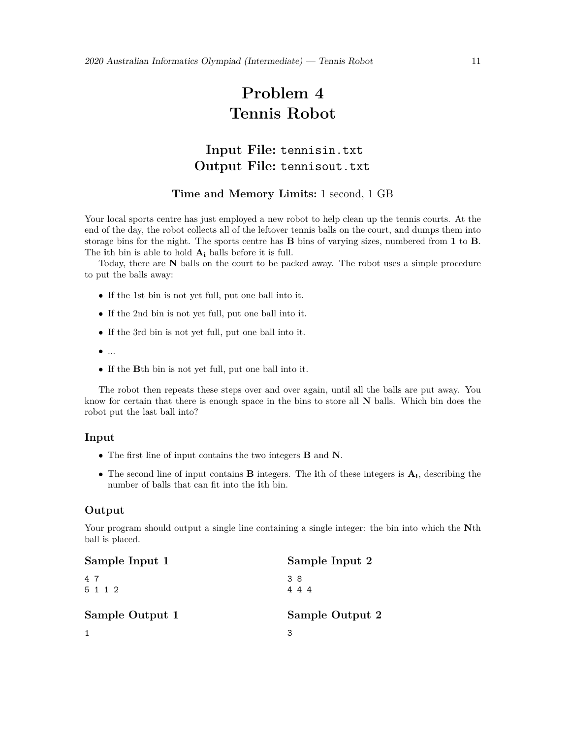# **Problem 4 Tennis Robot**

# **Input File:** tennisin.txt **Output File:** tennisout.txt

#### **Time and Memory Limits:** 1 second, 1 GB

Your local sports centre has just employed a new robot to help clean up the tennis courts. At the end of the day, the robot collects all of the leftover tennis balls on the court, and dumps them into storage bins for the night. The sports centre has **B** bins of varying sizes, numbered from **1** to **B**. The **i**th bin is able to hold **A<sup>i</sup>** balls before it is full.

Today, there are **N** balls on the court to be packed away. The robot uses a simple procedure to put the balls away:

- *•* If the 1st bin is not yet full, put one ball into it.
- *•* If the 2nd bin is not yet full, put one ball into it.
- *•* If the 3rd bin is not yet full, put one ball into it.
- *•* ...
- *•* If the **B**th bin is not yet full, put one ball into it.

The robot then repeats these steps over and over again, until all the balls are put away. You know for certain that there is enough space in the bins to store all **N** balls. Which bin does the robot put the last ball into?

#### **Input**

- *•* The first line of input contains the two integers **B** and **N**.
- *•* The second line of input contains **B** integers. The **i**th of these integers is **Ai**, describing the number of balls that can fit into the **i**th bin.

#### **Output**

Your program should output a single line containing a single integer: the bin into which the **N**th ball is placed.

| Sample Input 1  | Sample Input 2  |
|-----------------|-----------------|
| 47<br>5 1 1 2   | 38<br>4 4 4     |
| Sample Output 1 | Sample Output 2 |
|                 |                 |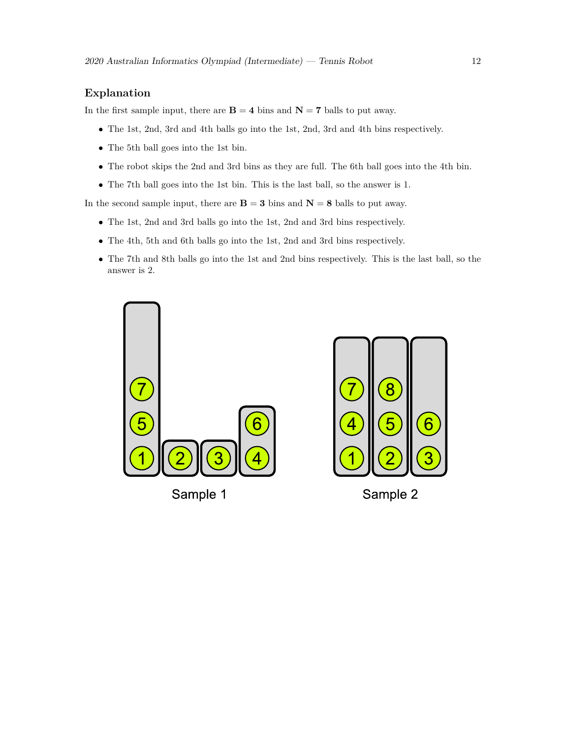### **Explanation**

In the first sample input, there are  $\mathbf{B} = 4$  bins and  $\mathbf{N} = 7$  balls to put away.

- *•* The 1st, 2nd, 3rd and 4th balls go into the 1st, 2nd, 3rd and 4th bins respectively.
- *•* The 5th ball goes into the 1st bin.
- The robot skips the 2nd and 3rd bins as they are full. The 6th ball goes into the 4th bin.
- *•* The 7th ball goes into the 1st bin. This is the last ball, so the answer is 1.

In the second sample input, there are  $\mathbf{B} = 3$  bins and  $\mathbf{N} = 8$  balls to put away.

- *•* The 1st, 2nd and 3rd balls go into the 1st, 2nd and 3rd bins respectively.
- *•* The 4th, 5th and 6th balls go into the 1st, 2nd and 3rd bins respectively.
- *•* The 7th and 8th balls go into the 1st and 2nd bins respectively. This is the last ball, so the answer is 2.





Sample 2